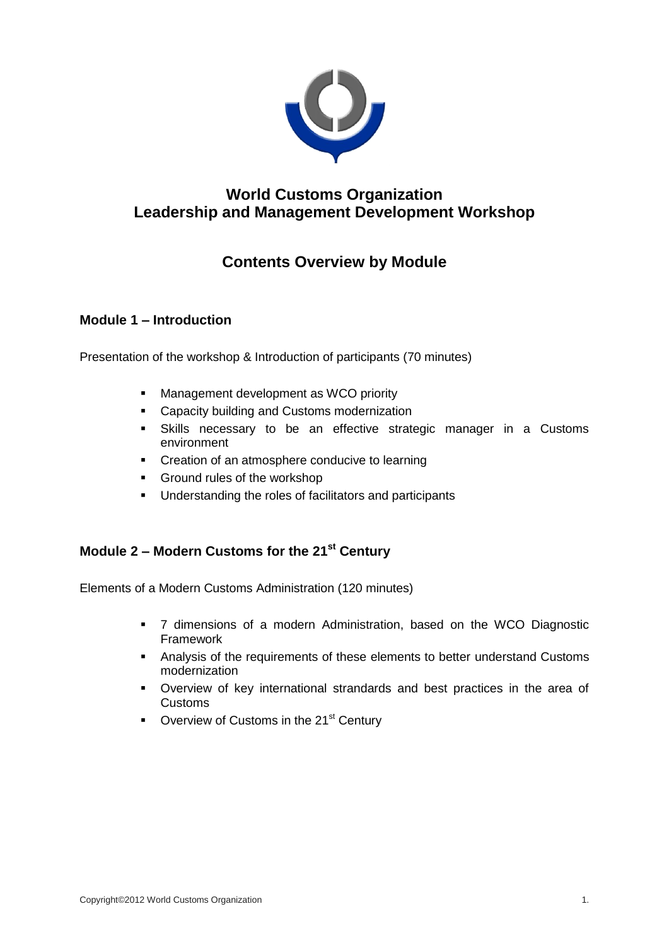

# **World Customs Organization Leadership and Management Development Workshop**

# **Contents Overview by Module**

## **Module 1 – Introduction**

Presentation of the workshop & Introduction of participants (70 minutes)

- **Management development as WCO priority**
- **Capacity building and Customs modernization**
- Skills necessary to be an effective strategic manager in a Customs environment
- **•** Creation of an atmosphere conducive to learning
- **Ground rules of the workshop**
- **Understanding the roles of facilitators and participants**

## **Module 2 – Modern Customs for the 21st Century**

Elements of a Modern Customs Administration (120 minutes)

- 7 dimensions of a modern Administration, based on the WCO Diagnostic Framework
- Analysis of the requirements of these elements to better understand Customs modernization
- Overview of key international strandards and best practices in the area of Customs
- Overview of Customs in the 21<sup>st</sup> Century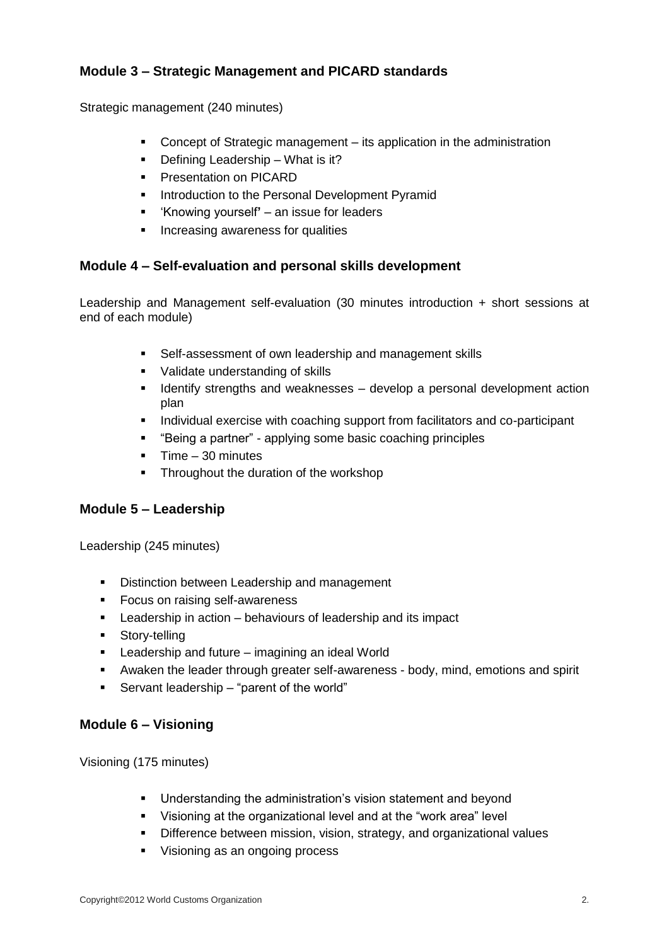## **Module 3 – Strategic Management and PICARD standards**

Strategic management (240 minutes)

- Concept of Strategic management its application in the administration
- Defining Leadership What is it?
- **Presentation on PICARD**
- **Introduction to the Personal Development Pyramid**
- 'Knowing yourself**'**  an issue for leaders
- **Increasing awareness for qualities**

## **Module 4 – Self-evaluation and personal skills development**

Leadership and Management self-evaluation (30 minutes introduction + short sessions at end of each module)

- Self-assessment of own leadership and management skills
- **Validate understanding of skills**
- **If Identify strengths and weaknesses develop a personal development action** plan
- **Individual exercise with coaching support from facilitators and co-participant**
- "Being a partner" applying some basic coaching principles
- $\blacksquare$  Time 30 minutes
- Throughout the duration of the workshop

## **Module 5 – Leadership**

Leadership (245 minutes)

- **Distinction between Leadership and management**
- **Focus on raising self-awareness**
- **EXEC** Leadership in action behaviours of leadership and its impact
- **Story-telling**
- **EXEC** Leadership and future imagining an ideal World
- Awaken the leader through greater self-awareness body, mind, emotions and spirit
- Servant leadership "parent of the world"

#### **Module 6 – Visioning**

Visioning (175 minutes)

- **Understanding the administration's vision statement and beyond**
- Visioning at the organizational level and at the "work area" level
- **•** Difference between mission, vision, strategy, and organizational values
- Visioning as an ongoing process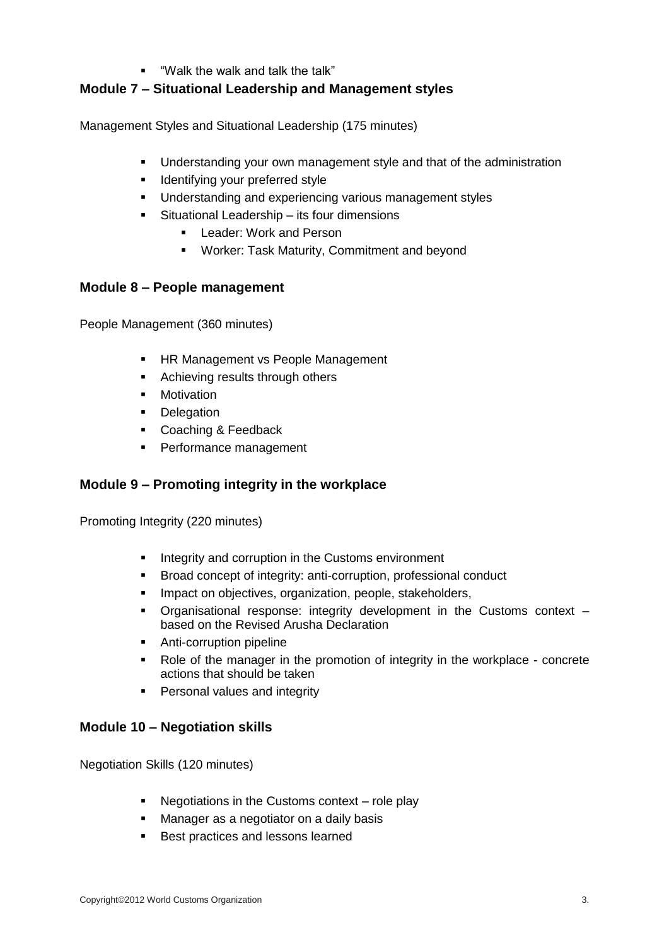"Walk the walk and talk the talk"

## **Module 7 – Situational Leadership and Management styles**

Management Styles and Situational Leadership (175 minutes)

- **Understanding your own management style and that of the administration**
- **If** Identifying your preferred style
- **Understanding and experiencing various management styles**
- Situational Leadership its four dimensions
	- **Leader: Work and Person**
	- Worker: Task Maturity, Commitment and beyond

#### **Module 8 – People management**

People Management (360 minutes)

- **HR Management vs People Management**
- **Achieving results through others**
- **•** Motivation
- Delegation
- **Coaching & Feedback**
- **Performance management**

#### **Module 9 – Promoting integrity in the workplace**

Promoting Integrity (220 minutes)

- **Integrity and corruption in the Customs environment**
- **Broad concept of integrity: anti-corruption, professional conduct**
- **Impact on objectives, organization, people, stakeholders,**
- Organisational response: integrity development in the Customs context based on the Revised Arusha Declaration
- **Anti-corruption pipeline**
- Role of the manager in the promotion of integrity in the workplace concrete actions that should be taken
- **Personal values and integrity**

#### **Module 10 – Negotiation skills**

Negotiation Skills (120 minutes)

- Negotiations in the Customs context role play
- **Manager as a negotiator on a daily basis**
- **Best practices and lessons learned**